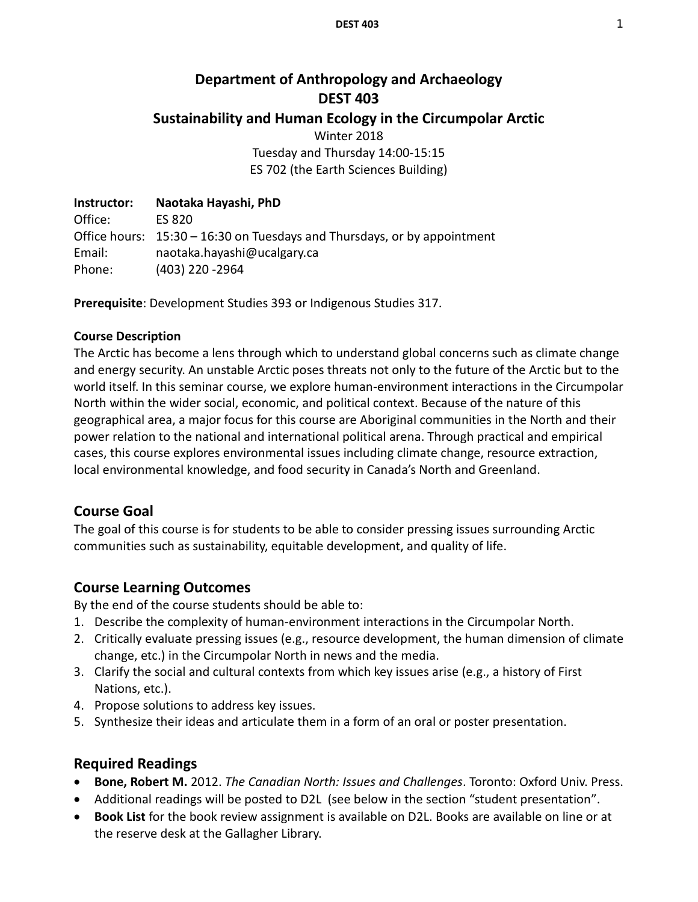# **Department of Anthropology and Archaeology DEST 403 Sustainability and Human Ecology in the Circumpolar Arctic** Winter 2018 Tuesday and Thursday 14:00-15:15 ES 702 (the Earth Sciences Building)

**Instructor: Naotaka Hayashi, PhD** Office: ES 820 Office hours: 15:30 – 16:30 on Tuesdays and Thursdays, or by appointment Email: naotaka.hayashi@ucalgary.ca Phone: (403) 220 -2964

**Prerequisite**: Development Studies 393 or Indigenous Studies 317.

#### **Course Description**

The Arctic has become a lens through which to understand global concerns such as climate change and energy security. An unstable Arctic poses threats not only to the future of the Arctic but to the world itself. In this seminar course, we explore human-environment interactions in the Circumpolar North within the wider social, economic, and political context. Because of the nature of this geographical area, a major focus for this course are Aboriginal communities in the North and their power relation to the national and international political arena. Through practical and empirical cases, this course explores environmental issues including climate change, resource extraction, local environmental knowledge, and food security in Canada's North and Greenland.

## **Course Goal**

The goal of this course is for students to be able to consider pressing issues surrounding Arctic communities such as sustainability, equitable development, and quality of life.

## **Course Learning Outcomes**

By the end of the course students should be able to:

- 1. Describe the complexity of human-environment interactions in the Circumpolar North.
- 2. Critically evaluate pressing issues (e.g., resource development, the human dimension of climate change, etc.) in the Circumpolar North in news and the media.
- 3. Clarify the social and cultural contexts from which key issues arise (e.g., a history of First Nations, etc.).
- 4. Propose solutions to address key issues.
- 5. Synthesize their ideas and articulate them in a form of an oral or poster presentation.

## **Required Readings**

- **Bone, Robert M.** 2012. *The Canadian North: Issues and Challenges*. Toronto: Oxford Univ. Press.
- Additional readings will be posted to D2L (see below in the section "student presentation".
- **Book List** for the book review assignment is available on D2L. Books are available on line or at the reserve desk at the Gallagher Library.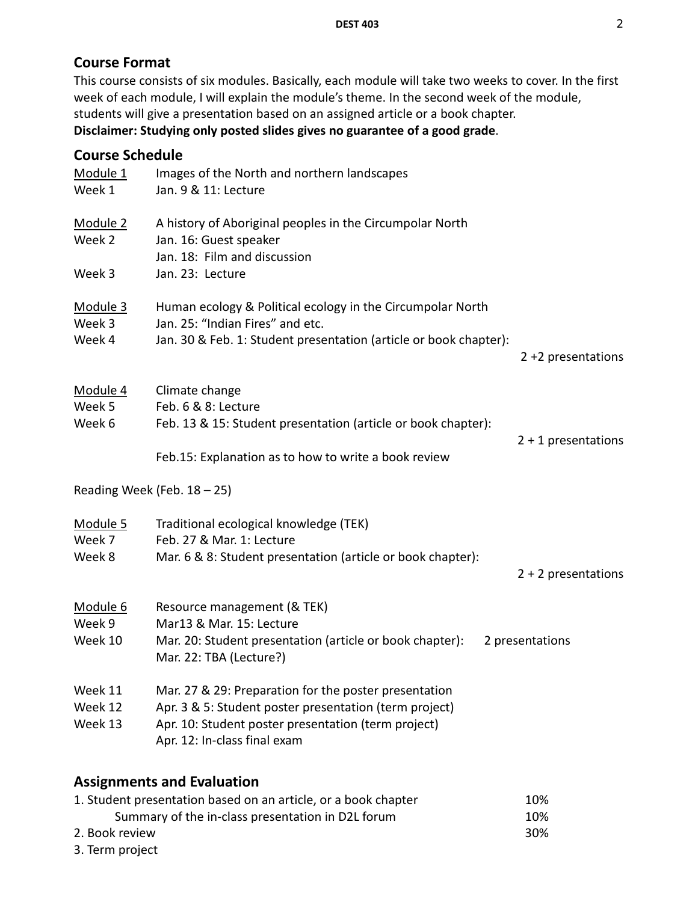# **Course Format**

This course consists of six modules. Basically, each module will take two weeks to cover. In the first week of each module, I will explain the module's theme. In the second week of the module, students will give a presentation based on an assigned article or a book chapter. **Disclaimer: Studying only posted slides gives no guarantee of a good grade**.

# **Course Schedule**

| Module 1<br>Week 1            | Images of the North and northern landscapes<br>Jan. 9 & 11: Lecture                                                                                                                                    |                       |
|-------------------------------|--------------------------------------------------------------------------------------------------------------------------------------------------------------------------------------------------------|-----------------------|
| Module 2<br>Week 2            | A history of Aboriginal peoples in the Circumpolar North<br>Jan. 16: Guest speaker<br>Jan. 18: Film and discussion                                                                                     |                       |
| Week 3                        | Jan. 23: Lecture                                                                                                                                                                                       |                       |
| <u>Module 3</u><br>Week 3     | Human ecology & Political ecology in the Circumpolar North<br>Jan. 25: "Indian Fires" and etc.                                                                                                         |                       |
| Week 4                        | Jan. 30 & Feb. 1: Student presentation (article or book chapter):                                                                                                                                      | $2 + 2$ presentations |
| Module 4<br>Week 5<br>Week 6  | Climate change<br>Feb. 6 & 8: Lecture<br>Feb. 13 & 15: Student presentation (article or book chapter):                                                                                                 |                       |
|                               | Feb.15: Explanation as to how to write a book review                                                                                                                                                   | $2 + 1$ presentations |
|                               | Reading Week (Feb. $18 - 25$ )                                                                                                                                                                         |                       |
| Module 5<br>Week 7<br>Week 8  | Traditional ecological knowledge (TEK)<br>Feb. 27 & Mar. 1: Lecture<br>Mar. 6 & 8: Student presentation (article or book chapter):                                                                     |                       |
|                               |                                                                                                                                                                                                        | $2 + 2$ presentations |
| Module 6<br>Week 9<br>Week 10 | Resource management (& TEK)<br>Mar13 & Mar. 15: Lecture<br>Mar. 20: Student presentation (article or book chapter):<br>Mar. 22: TBA (Lecture?)                                                         | 2 presentations       |
| Week 11<br>Week 12<br>Week 13 | Mar. 27 & 29: Preparation for the poster presentation<br>Apr. 3 & 5: Student poster presentation (term project)<br>Apr. 10: Student poster presentation (term project)<br>Apr. 12: In-class final exam |                       |
|                               | <b>Assignments and Evaluation</b><br>1. Student presentation based on an article, or a book chapter<br>Summary of the in-class presentation in D2L forum                                               | 10%<br>10%            |

- 2. Book review 30%
- 3. Term project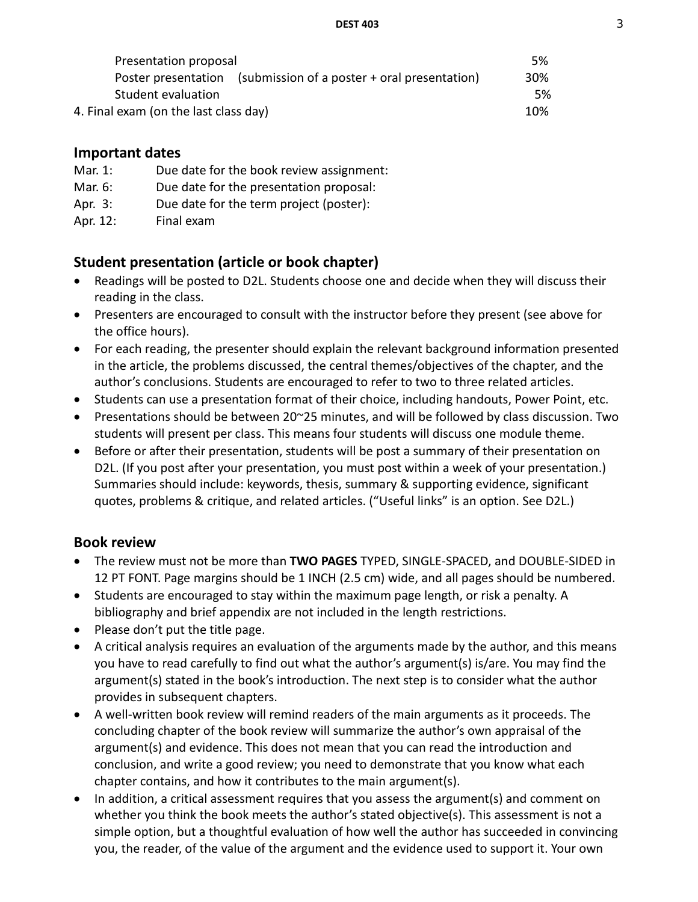**DEST 403** 3

| Presentation proposal                                               |     |  |
|---------------------------------------------------------------------|-----|--|
| (submission of a poster + oral presentation)<br>Poster presentation | 30% |  |
| Student evaluation                                                  | .5% |  |
| 4. Final exam (on the last class day)                               | 10% |  |

# **Important dates**

- Mar. 1: Due date for the book review assignment:
- Mar. 6: Due date for the presentation proposal:
- Apr. 3: Due date for the term project (poster):
- Apr. 12: Final exam

# **Student presentation (article or book chapter)**

- Readings will be posted to D2L. Students choose one and decide when they will discuss their reading in the class.
- Presenters are encouraged to consult with the instructor before they present (see above for the office hours).
- For each reading, the presenter should explain the relevant background information presented in the article, the problems discussed, the central themes/objectives of the chapter, and the author's conclusions. Students are encouraged to refer to two to three related articles.
- Students can use a presentation format of their choice, including handouts, Power Point, etc.
- Presentations should be between 20~25 minutes, and will be followed by class discussion. Two students will present per class. This means four students will discuss one module theme.
- Before or after their presentation, students will be post a summary of their presentation on D2L. (If you post after your presentation, you must post within a week of your presentation.) Summaries should include: keywords, thesis, summary & supporting evidence, significant quotes, problems & critique, and related articles. ("Useful links" is an option. See D2L.)

# **Book review**

- The review must not be more than **TWO PAGES** TYPED, SINGLE-SPACED, and DOUBLE-SIDED in 12 PT FONT. Page margins should be 1 INCH (2.5 cm) wide, and all pages should be numbered.
- Students are encouraged to stay within the maximum page length, or risk a penalty. A bibliography and brief appendix are not included in the length restrictions.
- Please don't put the title page.
- A critical analysis requires an evaluation of the arguments made by the author, and this means you have to read carefully to find out what the author's argument(s) is/are. You may find the argument(s) stated in the book's introduction. The next step is to consider what the author provides in subsequent chapters.
- A well-written book review will remind readers of the main arguments as it proceeds. The concluding chapter of the book review will summarize the author's own appraisal of the argument(s) and evidence. This does not mean that you can read the introduction and conclusion, and write a good review; you need to demonstrate that you know what each chapter contains, and how it contributes to the main argument(s).
- In addition, a critical assessment requires that you assess the argument(s) and comment on whether you think the book meets the author's stated objective(s). This assessment is not a simple option, but a thoughtful evaluation of how well the author has succeeded in convincing you, the reader, of the value of the argument and the evidence used to support it. Your own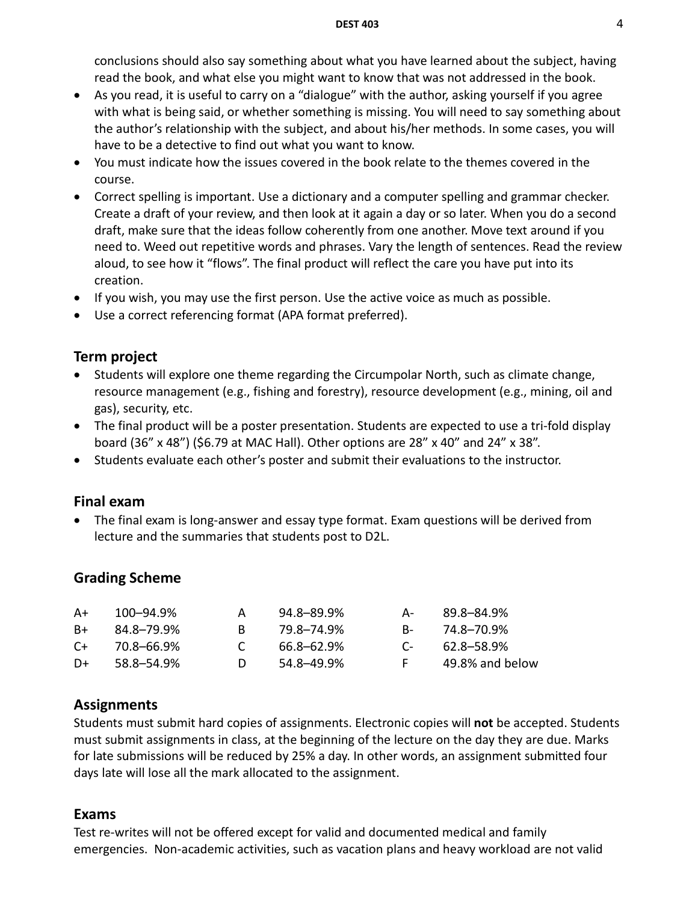conclusions should also say something about what you have learned about the subject, having read the book, and what else you might want to know that was not addressed in the book.

- As you read, it is useful to carry on a "dialogue" with the author, asking yourself if you agree with what is being said, or whether something is missing. You will need to say something about the author's relationship with the subject, and about his/her methods. In some cases, you will have to be a detective to find out what you want to know.
- You must indicate how the issues covered in the book relate to the themes covered in the course.
- Correct spelling is important. Use a dictionary and a computer spelling and grammar checker. Create a draft of your review, and then look at it again a day or so later. When you do a second draft, make sure that the ideas follow coherently from one another. Move text around if you need to. Weed out repetitive words and phrases. Vary the length of sentences. Read the review aloud, to see how it "flows". The final product will reflect the care you have put into its creation.
- If you wish, you may use the first person. Use the active voice as much as possible.
- Use a correct referencing format (APA format preferred).

## **Term project**

- Students will explore one theme regarding the Circumpolar North, such as climate change, resource management (e.g., fishing and forestry), resource development (e.g., mining, oil and gas), security, etc.
- The final product will be a poster presentation. Students are expected to use a tri-fold display board (36" x 48") (\$6.79 at MAC Hall). Other options are 28" x 40" and 24" x 38".
- Students evaluate each other's poster and submit their evaluations to the instructor.

## **Final exam**

• The final exam is long-answer and essay type format. Exam questions will be derived from lecture and the summaries that students post to D2L.

## **Grading Scheme**

| A+ | 100–94.9%  | А | 94.8–89.9% | А-           | 89.8-84.9%      |
|----|------------|---|------------|--------------|-----------------|
| B+ | 84.8–79.9% |   | 79.8–74.9% | <b>B</b> -   | 74.8–70.9%      |
| C+ | 70.8-66.9% |   | 66.8–62.9% | $\mathsf{C}$ | 62.8–58.9%      |
| D+ | 58.8–54.9% |   | 54.8–49.9% |              | 49.8% and below |

## **Assignments**

Students must submit hard copies of assignments. Electronic copies will **not** be accepted. Students must submit assignments in class, at the beginning of the lecture on the day they are due. Marks for late submissions will be reduced by 25% a day. In other words, an assignment submitted four days late will lose all the mark allocated to the assignment.

#### **Exams**

Test re-writes will not be offered except for valid and documented medical and family emergencies. Non-academic activities, such as vacation plans and heavy workload are not valid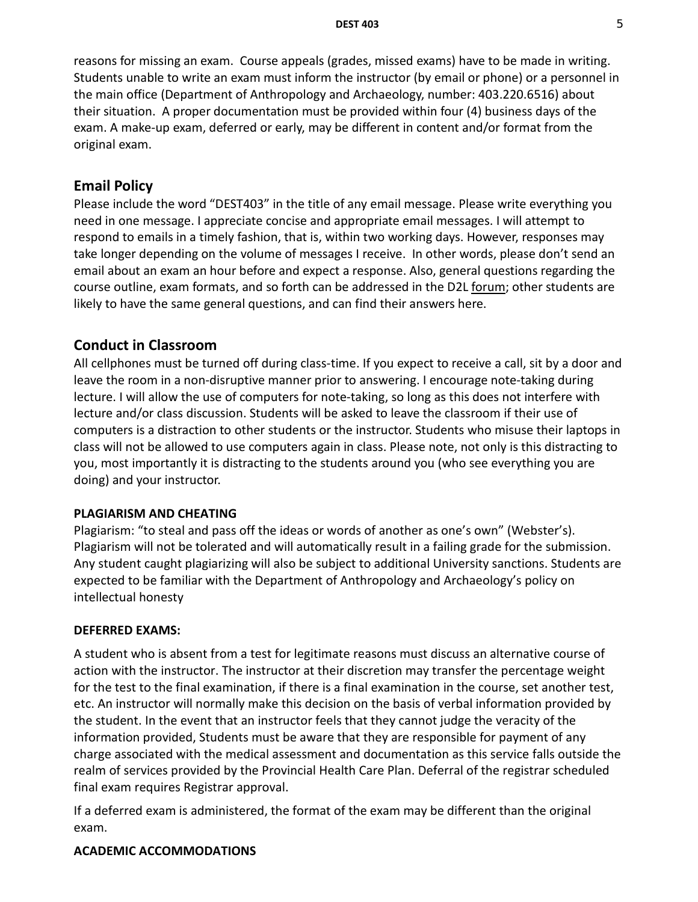reasons for missing an exam. Course appeals (grades, missed exams) have to be made in writing. Students unable to write an exam must inform the instructor (by email or phone) or a personnel in the main office (Department of Anthropology and Archaeology, number: 403.220.6516) about their situation. A proper documentation must be provided within four (4) business days of the exam. A make-up exam, deferred or early, may be different in content and/or format from the original exam.

### **Email Policy**

Please include the word "DEST403" in the title of any email message. Please write everything you need in one message. I appreciate concise and appropriate email messages. I will attempt to respond to emails in a timely fashion, that is, within two working days. However, responses may take longer depending on the volume of messages I receive. In other words, please don't send an email about an exam an hour before and expect a response. Also, general questions regarding the course outline, exam formats, and so forth can be addressed in the D2L forum; other students are likely to have the same general questions, and can find their answers here.

### **Conduct in Classroom**

All cellphones must be turned off during class-time. If you expect to receive a call, sit by a door and leave the room in a non-disruptive manner prior to answering. I encourage note-taking during lecture. I will allow the use of computers for note-taking, so long as this does not interfere with lecture and/or class discussion. Students will be asked to leave the classroom if their use of computers is a distraction to other students or the instructor. Students who misuse their laptops in class will not be allowed to use computers again in class. Please note, not only is this distracting to you, most importantly it is distracting to the students around you (who see everything you are doing) and your instructor.

#### **PLAGIARISM AND CHEATING**

Plagiarism: "to steal and pass off the ideas or words of another as one's own" (Webster's). Plagiarism will not be tolerated and will automatically result in a failing grade for the submission. Any student caught plagiarizing will also be subject to additional University sanctions. Students are expected to be familiar with the Department of Anthropology and Archaeology's policy on intellectual honesty

#### **DEFERRED EXAMS:**

A student who is absent from a test for legitimate reasons must discuss an alternative course of action with the instructor. The instructor at their discretion may transfer the percentage weight for the test to the final examination, if there is a final examination in the course, set another test, etc. An instructor will normally make this decision on the basis of verbal information provided by the student. In the event that an instructor feels that they cannot judge the veracity of the information provided, Students must be aware that they are responsible for payment of any charge associated with the medical assessment and documentation as this service falls outside the realm of services provided by the Provincial Health Care Plan. Deferral of the registrar scheduled final exam requires Registrar approval.

If a deferred exam is administered, the format of the exam may be different than the original exam.

#### **ACADEMIC ACCOMMODATIONS**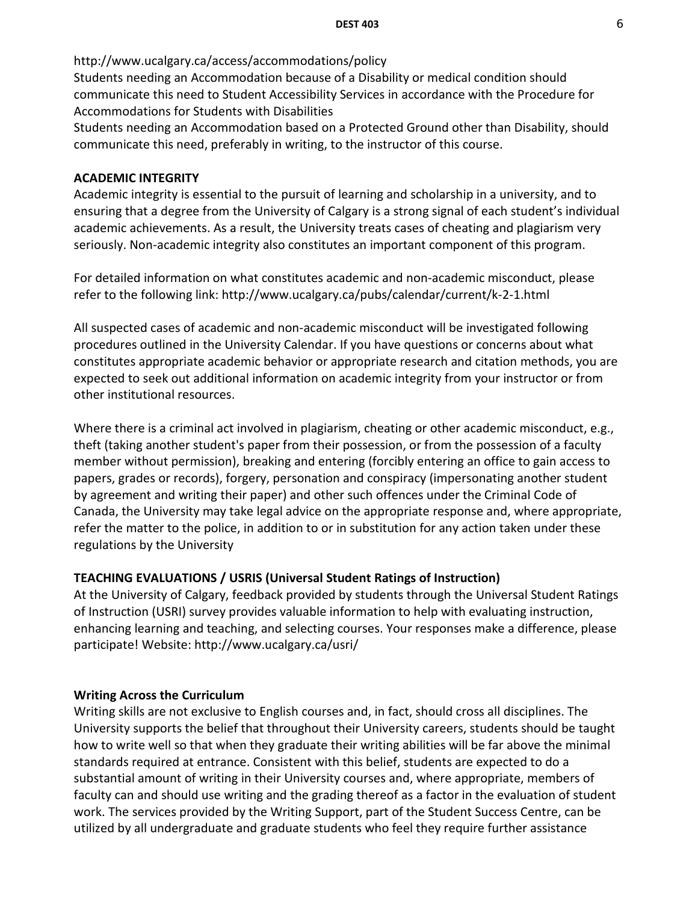http://www.ucalgary.ca/access/accommodations/policy Students needing an Accommodation because of a Disability or medical condition should communicate this need to Student Accessibility Services in accordance with the Procedure for Accommodations for Students with Disabilities Students needing an Accommodation based on a Protected Ground other than Disability, should

communicate this need, preferably in writing, to the instructor of this course.

#### **ACADEMIC INTEGRITY**

Academic integrity is essential to the pursuit of learning and scholarship in a university, and to ensuring that a degree from the University of Calgary is a strong signal of each student's individual academic achievements. As a result, the University treats cases of cheating and plagiarism very seriously. Non-academic integrity also constitutes an important component of this program.

For detailed information on what constitutes academic and non-academic misconduct, please refer to the following link: http://www.ucalgary.ca/pubs/calendar/current/k-2-1.html

All suspected cases of academic and non-academic misconduct will be investigated following procedures outlined in the University Calendar. If you have questions or concerns about what constitutes appropriate academic behavior or appropriate research and citation methods, you are expected to seek out additional information on academic integrity from your instructor or from other institutional resources.

Where there is a criminal act involved in plagiarism, cheating or other academic misconduct, e.g., theft (taking another student's paper from their possession, or from the possession of a faculty member without permission), breaking and entering (forcibly entering an office to gain access to papers, grades or records), forgery, personation and conspiracy (impersonating another student by agreement and writing their paper) and other such offences under the Criminal Code of Canada, the University may take legal advice on the appropriate response and, where appropriate, refer the matter to the police, in addition to or in substitution for any action taken under these regulations by the University

#### **TEACHING EVALUATIONS / USRIS (Universal Student Ratings of Instruction)**

At the University of Calgary, feedback provided by students through the Universal Student Ratings of Instruction (USRI) survey provides valuable information to help with evaluating instruction, enhancing learning and teaching, and selecting courses. Your responses make a difference, please participate! Website: http://www.ucalgary.ca/usri/

#### **Writing Across the Curriculum**

Writing skills are not exclusive to English courses and, in fact, should cross all disciplines. The University supports the belief that throughout their University careers, students should be taught how to write well so that when they graduate their writing abilities will be far above the minimal standards required at entrance. Consistent with this belief, students are expected to do a substantial amount of writing in their University courses and, where appropriate, members of faculty can and should use writing and the grading thereof as a factor in the evaluation of student work. The services provided by the Writing Support, part of the Student Success Centre, can be utilized by all undergraduate and graduate students who feel they require further assistance